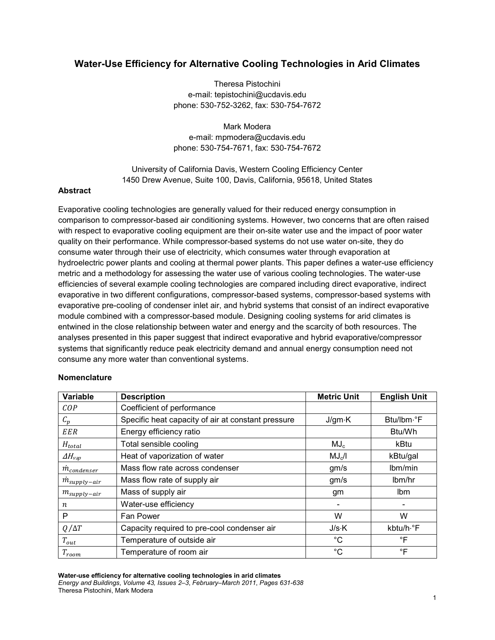# **Water-Use Efficiency for Alternative Cooling Technologies in Arid Climates**

Theresa Pistochini e-mail: tepistochini@ucdavis.edu phone: 530-752-3262, fax: 530-754-7672

Mark Modera e-mail: mpmodera@ucdavis.edu phone: 530-754-7671, fax: 530-754-7672

University of California Davis, Western Cooling Efficiency Center 1450 Drew Avenue, Suite 100, Davis, California, 95618, United States

### **Abstract**

Evaporative cooling technologies are generally valued for their reduced energy consumption in comparison to compressor-based air conditioning systems. However, two concerns that are often raised with respect to evaporative cooling equipment are their on-site water use and the impact of poor water quality on their performance. While compressor-based systems do not use water on-site, they do consume water through their use of electricity, which consumes water through evaporation at hydroelectric power plants and cooling at thermal power plants. This paper defines a water-use efficiency metric and a methodology for assessing the water use of various cooling technologies. The water-use efficiencies of several example cooling technologies are compared including direct evaporative, indirect evaporative in two different configurations, compressor-based systems, compressor-based systems with evaporative pre-cooling of condenser inlet air, and hybrid systems that consist of an indirect evaporative module combined with a compressor-based module. Designing cooling systems for arid climates is entwined in the close relationship between water and energy and the scarcity of both resources. The analyses presented in this paper suggest that indirect evaporative and hybrid evaporative/compressor systems that significantly reduce peak electricity demand and annual energy consumption need not consume any more water than conventional systems.

| Variable               | <b>Description</b>                                 | <b>Metric Unit</b> | <b>English Unit</b> |
|------------------------|----------------------------------------------------|--------------------|---------------------|
| COP                    | Coefficient of performance                         |                    |                     |
| $\mathcal{C}_p$        | Specific heat capacity of air at constant pressure | J/gm·K             | Btu/lbm.°F          |
| <b>EER</b>             | Energy efficiency ratio                            |                    | Btu/Wh              |
| $H_{total}$            | Total sensible cooling                             | $MJ_c$             | kBtu                |
| $\Delta H_{vap}$       | Heat of vaporization of water                      | $MJ_c/l$           | kBtu/gal            |
| $\dot{m}_{condenser}$  | Mass flow rate across condenser                    | gm/s               | lbm/min             |
| $\dot{m}_{supply-air}$ | Mass flow rate of supply air                       | gm/s               | lbm/hr              |
| $m_{supply-air}$       | Mass of supply air                                 | gm                 | lbm                 |
| n                      | Water-use efficiency                               |                    |                     |
| P                      | Fan Power                                          | W                  | W                   |
| $Q/\Delta T$           | Capacity required to pre-cool condenser air        | J/s·K              | kbtu/h·°F           |
| $T_{out}$              | Temperature of outside air                         | $^{\circ}C$        | $\mathsf{P}$        |
| $T_{room}$             | $^{\circ}C$<br>Temperature of room air             |                    | $\mathsf{P}$        |

### **Nomenclature**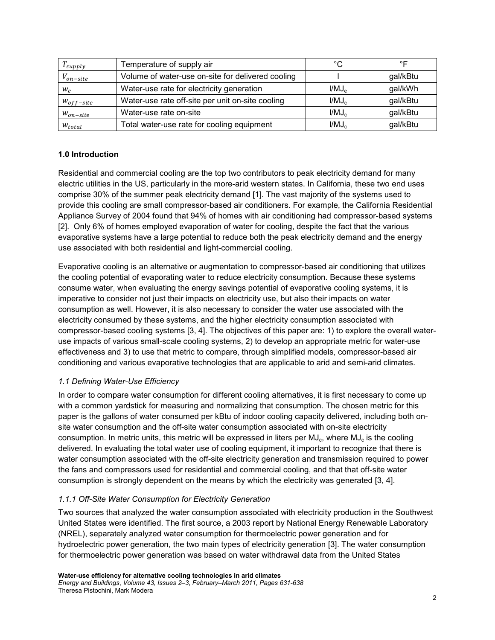| $I_{supply}$   | Temperature of supply air                         | °€             | ∘⊏       |
|----------------|---------------------------------------------------|----------------|----------|
| $V_{on-site}$  | Volume of water-use on-site for delivered cooling |                | gal/kBtu |
| $W_e$          | Water-use rate for electricity generation         | $I/MJ_{\rm e}$ | gal/kWh  |
| $W_{off-site}$ | Water-use rate off-site per unit on-site cooling  | $I/MJ_c$       | gal/kBtu |
| $W_{on-site}$  | Water-use rate on-site                            | $I/MJ_c$       | gal/kBtu |
| $W_{total}$    | Total water-use rate for cooling equipment        | $I/MJ_c$       | gal/kBtu |

# **1.0 Introduction**

Residential and commercial cooling are the top two contributors to peak electricity demand for many electric utilities in the US, particularly in the more-arid western states. In California, these two end uses comprise 30% of the summer peak electricity demand [1]. The vast majority of the systems used to provide this cooling are small compressor-based air conditioners. For example, the California Residential Appliance Survey of 2004 found that 94% of homes with air conditioning had compressor-based systems [2]. Only 6% of homes employed evaporation of water for cooling, despite the fact that the various evaporative systems have a large potential to reduce both the peak electricity demand and the energy use associated with both residential and light-commercial cooling.

Evaporative cooling is an alternative or augmentation to compressor-based air conditioning that utilizes the cooling potential of evaporating water to reduce electricity consumption. Because these systems consume water, when evaluating the energy savings potential of evaporative cooling systems, it is imperative to consider not just their impacts on electricity use, but also their impacts on water consumption as well. However, it is also necessary to consider the water use associated with the electricity consumed by these systems, and the higher electricity consumption associated with compressor-based cooling systems [3, 4]. The objectives of this paper are: 1) to explore the overall wateruse impacts of various small-scale cooling systems, 2) to develop an appropriate metric for water-use effectiveness and 3) to use that metric to compare, through simplified models, compressor-based air conditioning and various evaporative technologies that are applicable to arid and semi-arid climates.

### *1.1 Defining Water-Use Efficiency*

In order to compare water consumption for different cooling alternatives, it is first necessary to come up with a common yardstick for measuring and normalizing that consumption. The chosen metric for this paper is the gallons of water consumed per kBtu of indoor cooling capacity delivered, including both onsite water consumption and the off-site water consumption associated with on-site electricity consumption. In metric units, this metric will be expressed in liters per  $MJ<sub>c</sub>$ , where  $MJ<sub>c</sub>$  is the cooling delivered. In evaluating the total water use of cooling equipment, it important to recognize that there is water consumption associated with the off-site electricity generation and transmission required to power the fans and compressors used for residential and commercial cooling, and that that off-site water consumption is strongly dependent on the means by which the electricity was generated [3, 4].

### *1.1.1 Off-Site Water Consumption for Electricity Generation*

Two sources that analyzed the water consumption associated with electricity production in the Southwest United States were identified. The first source, a 2003 report by National Energy Renewable Laboratory (NREL), separately analyzed water consumption for thermoelectric power generation and for hydroelectric power generation, the two main types of electricity generation [3]. The water consumption for thermoelectric power generation was based on water withdrawal data from the United States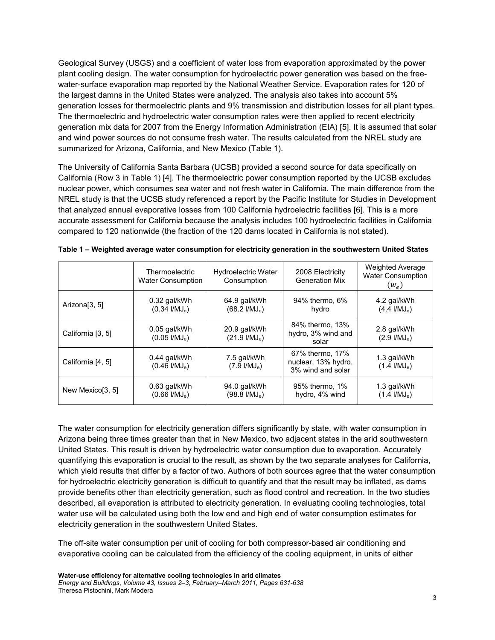Geological Survey (USGS) and a coefficient of water loss from evaporation approximated by the power plant cooling design. The water consumption for hydroelectric power generation was based on the freewater-surface evaporation map reported by the National Weather Service. Evaporation rates for 120 of the largest damns in the United States were analyzed. The analysis also takes into account 5% generation losses for thermoelectric plants and 9% transmission and distribution losses for all plant types. The thermoelectric and hydroelectric water consumption rates were then applied to recent electricity generation mix data for 2007 from the Energy Information Administration (EIA) [5]. It is assumed that solar and wind power sources do not consume fresh water. The results calculated from the NREL study are summarized for Arizona, California, and New Mexico [\(Table 1\)](#page-2-0).

The University of California Santa Barbara (UCSB) provided a second source for data specifically on California (Row 3 in [Table 1\)](#page-2-0) [4]. The thermoelectric power consumption reported by the UCSB excludes nuclear power, which consumes sea water and not fresh water in California. The main difference from the NREL study is that the UCSB study referenced a report by the Pacific Institute for Studies in Development that analyzed annual evaporative losses from 100 California hydroelectric facilities [6]. This is a more accurate assessment for California because the analysis includes 100 hydroelectric facilities in California compared to 120 nationwide (the fraction of the 120 dams located in California is not stated).

|                              | Thermoelectric<br><b>Water Consumption</b>  | <b>Hydroelectric Water</b><br>Consumption   | 2008 Electricity<br><b>Generation Mix</b>                   | <b>Weighted Average</b><br><b>Water Consumption</b><br>$(w_e)$ |
|------------------------------|---------------------------------------------|---------------------------------------------|-------------------------------------------------------------|----------------------------------------------------------------|
| Arizona <sup>[3, 5]</sup>    | 0.32 gal/kWh<br>$(0.34$ I/MJ <sub>e</sub> ) | 64.9 gal/kWh<br>$(68.2 \text{ I/MJ}_e)$     | 94% thermo, 6%<br>hydro                                     | 4.2 gal/kWh<br>$(4.4 \text{ I/MJ}_e)$                          |
| California [3, 5]            | 0.05 gal/kWh<br>$(0.05$ $I/MJ_e)$           | 20.9 gal/kWh<br>$(21.9$ I/MJ <sub>e</sub> ) | 84% thermo, 13%<br>hydro, 3% wind and<br>solar              | 2.8 gal/kWh<br>$(2.9$ I/MJ <sub>e</sub> )                      |
| California [4, 5]            | 0.44 gal/kWh<br>$(0.46$ I/MJ <sub>e</sub> ) | 7.5 gal/kWh<br>$(7.9$ I/MJ <sub>e</sub> )   | 67% thermo, 17%<br>nuclear, 13% hydro,<br>3% wind and solar | 1.3 gal/kWh<br>$(1.4$ $I/MJ_e)$                                |
| New Mexico <sup>[3, 5]</sup> | 0.63 gal/kWh<br>$(0.66$ I/MJ <sub>e</sub> ) | 94.0 gal/kWh<br>$(98.8 \text{ I/MJ}_e)$     | 95% thermo, 1%<br>hydro, 4% wind                            | 1.3 gal/kWh<br>$(1.4$ I/MJ <sub>e</sub> )                      |

<span id="page-2-0"></span>

The water consumption for electricity generation differs significantly by state, with water consumption in Arizona being three times greater than that in New Mexico, two adjacent states in the arid southwestern United States. This result is driven by hydroelectric water consumption due to evaporation. Accurately quantifying this evaporation is crucial to the result, as shown by the two separate analyses for California, which yield results that differ by a factor of two. Authors of both sources agree that the water consumption for hydroelectric electricity generation is difficult to quantify and that the result may be inflated, as dams provide benefits other than electricity generation, such as flood control and recreation. In the two studies described, all evaporation is attributed to electricity generation. In evaluating cooling technologies, total water use will be calculated using both the low end and high end of water consumption estimates for electricity generation in the southwestern United States.

The off-site water consumption per unit of cooling for both compressor-based air conditioning and evaporative cooling can be calculated from the efficiency of the cooling equipment, in units of either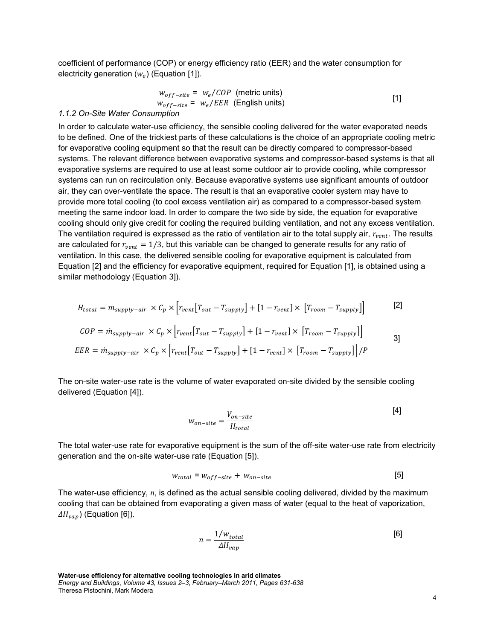coefficient of performance (COP) or energy efficiency ratio (EER) and the water consumption for electricity generation  $(w_e)$  (Equation [\[1\]\)](#page-3-0).

<span id="page-3-0"></span>
$$
w_{off-site} = w_e / COP \text{ (metric units)}
$$
  
\n
$$
w_{off-site} = w_e / EER \text{ (English units)}
$$
 [1]

#### *1.1.2 On-Site Water Consumption*

In order to calculate water-use efficiency, the sensible cooling delivered for the water evaporated needs to be defined. One of the trickiest parts of these calculations is the choice of an appropriate cooling metric for evaporative cooling equipment so that the result can be directly compared to compressor-based systems. The relevant difference between evaporative systems and compressor-based systems is that all evaporative systems are required to use at least some outdoor air to provide cooling, while compressor systems can run on recirculation only. Because evaporative systems use significant amounts of outdoor air, they can over-ventilate the space. The result is that an evaporative cooler system may have to provide more total cooling (to cool excess ventilation air) as compared to a compressor-based system meeting the same indoor load. In order to compare the two side by side, the equation for evaporative cooling should only give credit for cooling the required building ventilation, and not any excess ventilation. The ventilation required is expressed as the ratio of ventilation air to the total supply air,  $r_{vent}$ . The results are calculated for  $r_{vent} = 1/3$ , but this variable can be changed to generate results for any ratio of ventilation. In this case, the delivered sensible cooling for evaporative equipment is calculated from Equation [\[2\]](#page-3-1) and the efficiency for evaporative equipment, required for Equation [\[1\],](#page-3-0) is obtained using a similar methodology (Equation [3\]\)](#page-3-2).

$$
H_{total} = m_{supply-air} \times C_p \times [r_{vent}[T_{out} - T_{supply}] + [1 - r_{vent}] \times [T_{room} - T_{supply}]]
$$
\n
$$
COP = \dot{m}_{supply-air} \times C_p \times [r_{vent}[T_{out} - T_{supply}] + [1 - r_{vent}] \times [T_{room} - T_{supply}]]
$$
\n
$$
EER = \dot{m}_{supply-air} \times C_p \times [r_{vent}[T_{out} - T_{supply}] + [1 - r_{vent}] \times [T_{room} - T_{supply}] / P
$$
\n
$$
3]
$$

The on-site water-use rate is the volume of water evaporated on-site divided by the sensible cooling delivered (Equation [\[4\]\)](#page-3-3).

<span id="page-3-3"></span><span id="page-3-2"></span><span id="page-3-1"></span>
$$
w_{on-site} = \frac{V_{on-site}}{H_{total}}
$$
 [4]

The total water-use rate for evaporative equipment is the sum of the off-site water-use rate from electricity generation and the on-site water-use rate (Equation [\[5\]\)](#page-3-4).

$$
W_{total} = W_{off-site} + W_{on-site}
$$
 [5]

The water-use efficiency, *n*, is defined as the actual sensible cooling delivered, divided by the maximum cooling that can be obtained from evaporating a given mass of water (equal to the heat of vaporization,  $\Delta H_{vap}$ ) (Equation [\[6\]\)](#page-3-5).

<span id="page-3-5"></span><span id="page-3-4"></span>
$$
n = \frac{1/w_{total}}{\Delta H_{vap}}
$$
 [6]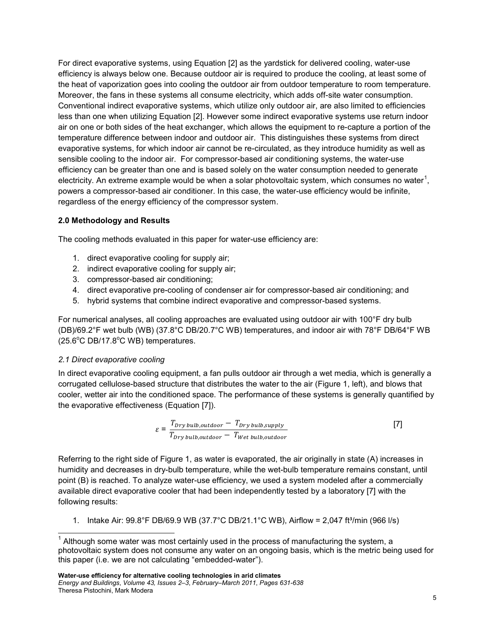For direct evaporative systems, using Equation [\[2\]](#page-3-1) as the yardstick for delivered cooling, water-use efficiency is always below one. Because outdoor air is required to produce the cooling, at least some of the heat of vaporization goes into cooling the outdoor air from outdoor temperature to room temperature. Moreover, the fans in these systems all consume electricity, which adds off-site water consumption. Conventional indirect evaporative systems, which utilize only outdoor air, are also limited to efficiencies less than one when utilizing Equation [\[2\].](#page-3-1) However some indirect evaporative systems use return indoor air on one or both sides of the heat exchanger, which allows the equipment to re-capture a portion of the temperature difference between indoor and outdoor air. This distinguishes these systems from direct evaporative systems, for which indoor air cannot be re-circulated, as they introduce humidity as well as sensible cooling to the indoor air. For compressor-based air conditioning systems, the water-use efficiency can be greater than one and is based solely on the water consumption needed to generate electricity. An extreme example would be when a solar photovoltaic system, which consumes no water<sup>[1](#page-4-1)</sup>, powers a compressor-based air conditioner. In this case, the water-use efficiency would be infinite, regardless of the energy efficiency of the compressor system.

## **2.0 Methodology and Results**

The cooling methods evaluated in this paper for water-use efficiency are:

- 1. direct evaporative cooling for supply air;
- 2. indirect evaporative cooling for supply air;
- 3. compressor-based air conditioning;
- 4. direct evaporative pre-cooling of condenser air for compressor-based air conditioning; and
- 5. hybrid systems that combine indirect evaporative and compressor-based systems.

For numerical analyses, all cooling approaches are evaluated using outdoor air with 100°F dry bulb (DB)/69.2°F wet bulb (WB) (37.8°C DB/20.7°C WB) temperatures, and indoor air with 78°F DB/64°F WB (25.6°C DB/17.8°C WB) temperatures.

#### *2.1 Direct evaporative cooling*

In direct evaporative cooling equipment, a fan pulls outdoor air through a wet media, which is generally a corrugated cellulose-based structure that distributes the water to the air [\(Figure 1,](#page-5-0) left), and blows that cooler, wetter air into the conditioned space. The performance of these systems is generally quantified by the evaporative effectiveness (Equation [\[7\]\)](#page-4-0).

<span id="page-4-0"></span>
$$
\varepsilon = \frac{T_{bry \; bulb, outdoor} - T_{bry \; bulb, supply}}{T_{bry \; bulb, outdoor} - T_{Wet \; bulb, outdoor}} \tag{7}
$$

Referring to the right side of Figure 1, as water is evaporated, the air originally in state (A) increases in humidity and decreases in dry-bulb temperature, while the wet-bulb temperature remains constant, until point (B) is reached. To analyze water-use efficiency, we used a system modeled after a commercially available direct evaporative cooler that had been independently tested by a laboratory [7] with the following results:

1. Intake Air:  $99.8^{\circ}$ F DB/69.9 WB (37.7°C DB/21.1°C WB), Airflow = 2,047 ft<sup>3</sup>/min (966 l/s)

<span id="page-4-1"></span> $1$  Although some water was most certainly used in the process of manufacturing the system, a photovoltaic system does not consume any water on an ongoing basis, which is the metric being used for this paper (i.e. we are not calculating "embedded-water").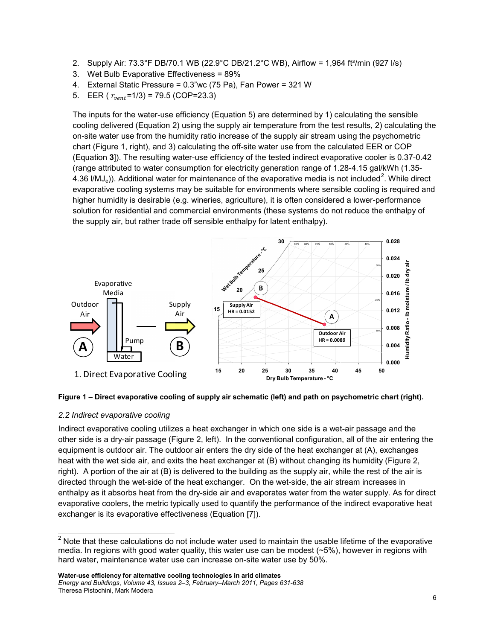- 2. Supply Air: 73.3°F DB/70.1 WB (22.9°C DB/21.2°C WB), Airflow = 1,964 ft<sup>3</sup>/min (927 l/s)
- 3. Wet Bulb Evaporative Effectiveness = 89%
- 4. External Static Pressure = 0.3"wc (75 Pa), Fan Power = 321 W
- 5. EER ( $r_{vent}$ =1/3) = 79.5 (COP=23.3)

The inputs for the water-use efficiency (Equation 5) are determined by 1) calculating the sensible cooling delivered (Equation 2) using the supply air temperature from the test results, 2) calculating the on-site water use from the humidity ratio increase of the supply air stream using the psychometric chart [\(Figure 1,](#page-5-1) right), and 3) calculating the off-site water use from the calculated EER or COP (Equation **[3](#page-3-2)**]). The resulting water-use efficiency of the tested indirect evaporative cooler is 0.37-0.42 (range attributed to water consumption for electricity generation range of 1.28-4.15 gal/kWh (1.35- 4.36 I/MJ<sub>e</sub>)). Additional water for maintenance of the evaporative media is not included<sup>[2](#page-5-2)</sup>. While direct evaporative cooling systems may be suitable for environments where sensible cooling is required and higher humidity is desirable (e.g. wineries, agriculture), it is often considered a lower-performance solution for residential and commercial environments (these systems do not reduce the enthalpy of the supply air, but rather trade off sensible enthalpy for latent enthalpy).

<span id="page-5-0"></span>

<span id="page-5-1"></span>

### *2.2 Indirect evaporative cooling*

Indirect evaporative cooling utilizes a heat exchanger in which one side is a wet-air passage and the other side is a dry-air passage [\(Figure 2,](#page-6-0) left). In the conventional configuration, all of the air entering the equipment is outdoor air. The outdoor air enters the dry side of the heat exchanger at (A), exchanges heat with the wet side air, and exits the heat exchanger at (B) without changing its humidity [\(Figure 2,](#page-6-0) right). A portion of the air at (B) is delivered to the building as the supply air, while the rest of the air is directed through the wet-side of the heat exchanger. On the wet-side, the air stream increases in enthalpy as it absorbs heat from the dry-side air and evaporates water from the water supply. As for direct evaporative coolers, the metric typically used to quantify the performance of the indirect evaporative heat exchanger is its evaporative effectiveness (Equation [\[7\]](#page-4-0)).

<span id="page-5-2"></span> $\overline{a}$  $2$  Note that these calculations do not include water used to maintain the usable lifetime of the evaporative media. In regions with good water quality, this water use can be modest (~5%), however in regions with hard water, maintenance water use can increase on-site water use by 50%.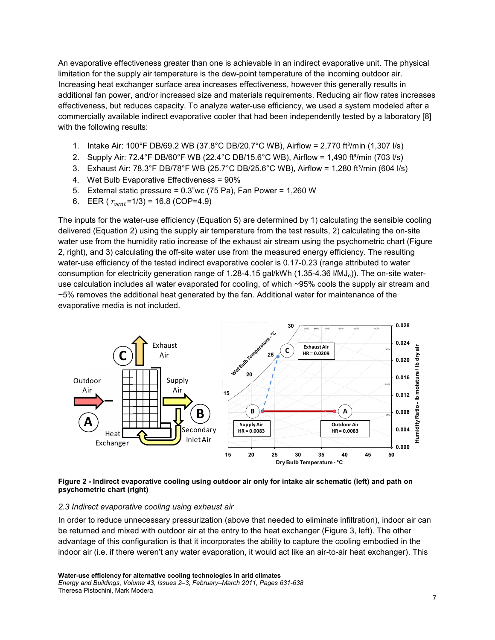An evaporative effectiveness greater than one is achievable in an indirect evaporative unit. The physical limitation for the supply air temperature is the dew-point temperature of the incoming outdoor air. Increasing heat exchanger surface area increases effectiveness, however this generally results in additional fan power, and/or increased size and materials requirements. Reducing air flow rates increases effectiveness, but reduces capacity. To analyze water-use efficiency, we used a system modeled after a commercially available indirect evaporative cooler that had been independently tested by a laboratory [8] with the following results:

- 1. Intake Air: 100°F DB/69.2 WB (37.8°C DB/20.7°C WB), Airflow = 2,770 ft<sup>3</sup>/min (1,307 l/s)
- 2. Supply Air: 72.4°F DB/60°F WB (22.4°C DB/15.6°C WB), Airflow = 1,490 ft<sup>3</sup>/min (703 l/s)
- 3. Exhaust Air: 78.3°F DB/78°F WB (25.7°C DB/25.6°C WB), Airflow = 1,280 ft<sup>3</sup>/min (604 l/s)
- 4. Wet Bulb Evaporative Effectiveness = 90%
- 5. External static pressure = 0.3"wc (75 Pa), Fan Power = 1,260 W
- 6. EER ( $r_{vent}$ =1/3) = 16.8 (COP=4.9)

The inputs for the water-use efficiency (Equation 5) are determined by 1) calculating the sensible cooling delivered (Equation 2) using the supply air temperature from the test results, 2) calculating the on-site water use from the humidity ratio increase of the exhaust air stream using the psychometric chart (Figure [2,](#page-6-0) right), and 3) calculating the off-site water use from the measured energy efficiency. The resulting water-use efficiency of the tested indirect evaporative cooler is 0.17-0.23 (range attributed to water consumption for electricity generation range of 1.28-4.15 gal/kWh (1.35-4.36 l/MJ<sub>e</sub>)). The on-site wateruse calculation includes all water evaporated for cooling, of which ~95% cools the supply air stream and ~5% removes the additional heat generated by the fan. Additional water for maintenance of the evaporative media is not included.



#### <span id="page-6-0"></span>**Figure 2 - Indirect evaporative cooling using outdoor air only for intake air schematic (left) and path on psychometric chart (right)**

#### *2.3 Indirect evaporative cooling using exhaust air*

In order to reduce unnecessary pressurization (above that needed to eliminate infiltration), indoor air can be returned and mixed with outdoor air at the entry to the heat exchanger [\(Figure 3,](#page-8-0) left). The other advantage of this configuration is that it incorporates the ability to capture the cooling embodied in the indoor air (i.e. if there weren't any water evaporation, it would act like an air-to-air heat exchanger). This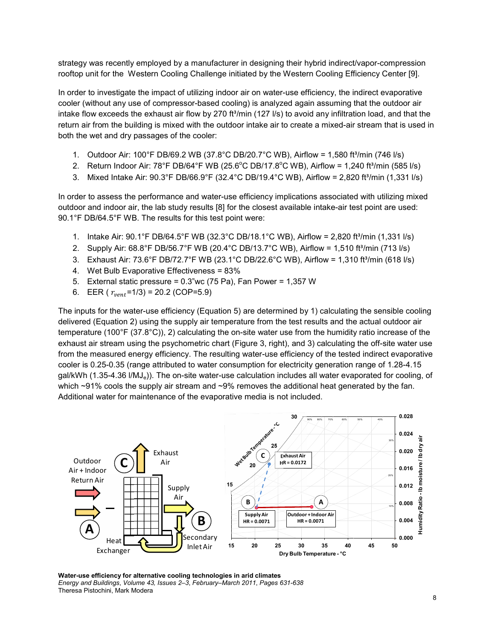strategy was recently employed by a manufacturer in designing their hybrid indirect/vapor-compression rooftop unit for the Western Cooling Challenge initiated by the Western Cooling Efficiency Center [9].

In order to investigate the impact of utilizing indoor air on water-use efficiency, the indirect evaporative cooler (without any use of compressor-based cooling) is analyzed again assuming that the outdoor air intake flow exceeds the exhaust air flow by 270 ft<sup>3</sup>/min (127 l/s) to avoid any infiltration load, and that the return air from the building is mixed with the outdoor intake air to create a mixed-air stream that is used in both the wet and dry passages of the cooler:

- 1. Outdoor Air: 100°F DB/69.2 WB (37.8°C DB/20.7°C WB), Airflow = 1,580 ft<sup>3</sup>/min (746 l/s)
- 2. Return Indoor Air: 78°F DB/64°F WB (25.6°C DB/17.8°C WB), Airflow = 1,240 ft<sup>3</sup>/min (585 l/s)
- 3. Mixed Intake Air:  $90.3^{\circ}$ F DB/66.9°F (32.4°C DB/19.4°C WB), Airflow = 2,820 ft<sup>3</sup>/min (1,331 l/s)

In order to assess the performance and water-use efficiency implications associated with utilizing mixed outdoor and indoor air, the lab study results [8] for the closest available intake-air test point are used: 90.1°F DB/64.5°F WB. The results for this test point were:

- 1. Intake Air:  $90.1^{\circ}$ F DB/64.5°F WB (32.3°C DB/18.1°C WB), Airflow = 2,820 ft<sup>3</sup>/min (1,331 l/s)
- 2. Supply Air: 68.8°F DB/56.7°F WB (20.4°C DB/13.7°C WB), Airflow = 1,510 ft<sup>3</sup>/min (713 l/s)
- 3. Exhaust Air: 73.6°F DB/72.7°F WB (23.1°C DB/22.6°C WB), Airflow = 1,310 ft<sup>3</sup>/min (618 l/s)
- 4. Wet Bulb Evaporative Effectiveness = 83%
- 5. External static pressure = 0.3"wc (75 Pa), Fan Power = 1,357 W
- 6. EER ( $r_{vent}$ =1/3) = 20.2 (COP=5.9)

The inputs for the water-use efficiency (Equation 5) are determined by 1) calculating the sensible cooling delivered (Equation 2) using the supply air temperature from the test results and the actual outdoor air temperature (100°F (37.8°C)), 2) calculating the on-site water use from the humidity ratio increase of the exhaust air stream using the psychometric chart [\(Figure 3,](#page-8-0) right), and 3) calculating the off-site water use from the measured energy efficiency. The resulting water-use efficiency of the tested indirect evaporative cooler is 0.25-0.35 (range attributed to water consumption for electricity generation range of 1.28-4.15 gal/kWh (1.35-4.36 l/MJ<sub>e</sub>)). The on-site water-use calculation includes all water evaporated for cooling, of which  $\sim$ 91% cools the supply air stream and  $\sim$ 9% removes the additional heat generated by the fan. Additional water for maintenance of the evaporative media is not included.

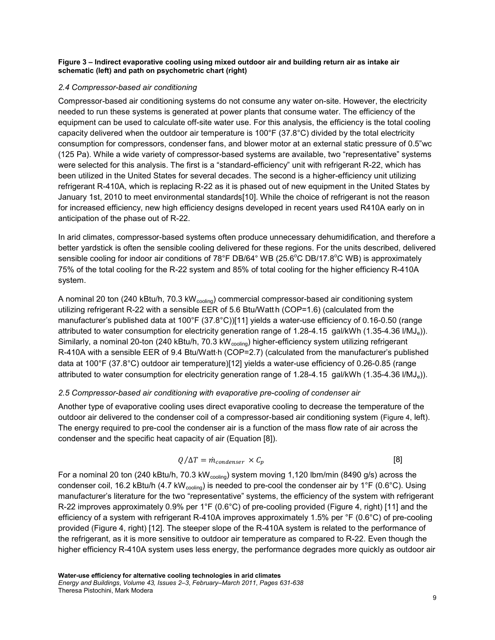#### <span id="page-8-0"></span>**Figure 3 – Indirect evaporative cooling using mixed outdoor air and building return air as intake air schematic (left) and path on psychometric chart (right)**

### *2.4 Compressor-based air conditioning*

Compressor-based air conditioning systems do not consume any water on-site. However, the electricity needed to run these systems is generated at power plants that consume water. The efficiency of the equipment can be used to calculate off-site water use. For this analysis, the efficiency is the total cooling capacity delivered when the outdoor air temperature is 100°F (37.8°C) divided by the total electricity consumption for compressors, condenser fans, and blower motor at an external static pressure of 0.5"wc (125 Pa). While a wide variety of compressor-based systems are available, two "representative" systems were selected for this analysis. The first is a "standard-efficiency" unit with refrigerant R-22, which has been utilized in the United States for several decades. The second is a higher-efficiency unit utilizing refrigerant R-410A, which is replacing R-22 as it is phased out of new equipment in the United States by January 1st, 2010 to meet environmental standards[10]. While the choice of refrigerant is not the reason for increased efficiency, new high efficiency designs developed in recent years used R410A early on in anticipation of the phase out of R-22.

In arid climates, compressor-based systems often produce unnecessary dehumidification, and therefore a better yardstick is often the sensible cooling delivered for these regions. For the units described, delivered sensible cooling for indoor air conditions of 78°F DB/64° WB (25.6°C DB/17.8°C WB) is approximately 75% of the total cooling for the R-22 system and 85% of total cooling for the higher efficiency R-410A system.

A nominal 20 ton (240 kBtu/h, 70.3 kW<sub>cooling</sub>) commercial compressor-based air conditioning system utilizing refrigerant R-22 with a sensible EER of 5.6 Btu/Watth (COP=1.6) (calculated from the manufacturer's published data at 100°F (37.8°C))[11] yields a water-use efficiency of 0.16-0.50 (range attributed to water consumption for electricity generation range of 1.28-4.15 gal/kWh (1.35-4.36 l/MJe)). Similarly, a nominal 20-ton (240 kBtu/h, 70.3 kW<sub>cooling</sub>) higher-efficiency system utilizing refrigerant R-410A with a sensible EER of 9.4 Btu/Watt·h (COP=2.7) (calculated from the manufacturer's published data at 100°F (37.8°C) outdoor air temperature)[12] yields a water-use efficiency of 0.26-0.85 (range attributed to water consumption for electricity generation range of 1.28-4.15 gal/kWh (1.35-4.36 l/MJe)).

### *2.5 Compressor-based air conditioning with evaporative pre-cooling of condenser air*

Another type of evaporative cooling uses direct evaporative cooling to decrease the temperature of the outdoor air delivered to the condenser coil of a compressor-based air conditioning system [\(Figure 4,](#page-9-0) left). The energy required to pre-cool the condenser air is a function of the mass flow rate of air across the condenser and the specific heat capacity of air (Equation [\[8\]\)](#page-8-1).

<span id="page-8-1"></span>
$$
Q/\Delta T = \dot{m}_{condenser} \times C_p \tag{8}
$$

For a nominal 20 ton (240 kBtu/h, 70.3 kW<sub>cooling</sub>) system moving 1,120 lbm/min (8490 g/s) across the condenser coil, 16.2 kBtu/h (4.7 kW<sub>cooling</sub>) is needed to pre-cool the condenser air by 1°F (0.6°C). Using manufacturer's literature for the two "representative" systems, the efficiency of the system with refrigerant R-22 improves approximately 0.9% per 1°F (0.6°C) of pre-cooling provided [\(Figure 4,](#page-9-0) right) [11] and the efficiency of a system with refrigerant R-410A improves approximately 1.5% per °F (0.6°C) of pre-cooling provided [\(Figure 4,](#page-9-0) right) [12]. The steeper slope of the R-410A system is related to the performance of the refrigerant, as it is more sensitive to outdoor air temperature as compared to R-22. Even though the higher efficiency R-410A system uses less energy, the performance degrades more quickly as outdoor air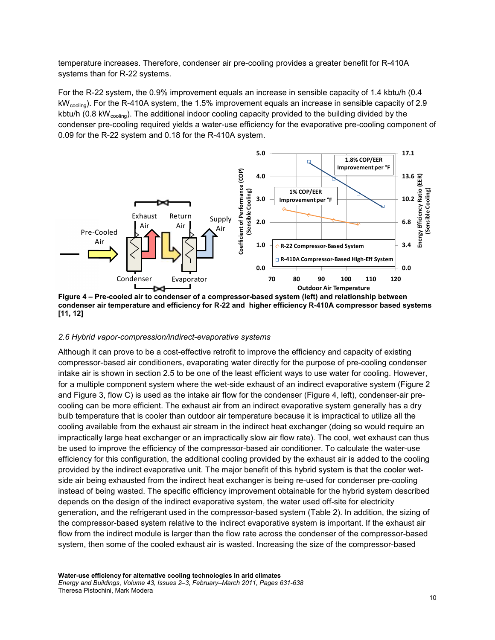temperature increases. Therefore, condenser air pre-cooling provides a greater benefit for R-410A systems than for R-22 systems.

For the R-22 system, the 0.9% improvement equals an increase in sensible capacity of 1.4 kbtu/h (0.4 kW<sub>cooling</sub>). For the R-410A system, the 1.5% improvement equals an increase in sensible capacity of 2.9 kbtu/h (0.8 kW<sub>cooling</sub>). The additional indoor cooling capacity provided to the building divided by the condenser pre-cooling required yields a water-use efficiency for the evaporative pre-cooling component of 0.09 for the R-22 system and 0.18 for the R-410A system.



<span id="page-9-0"></span>**Figure 4 – Pre-cooled air to condenser of a compressor-based system (left) and relationship between condenser air temperature and efficiency for R-22 and higher efficiency R-410A compressor based systems [11, 12]**

#### *2.6 Hybrid vapor-compression/indirect-evaporative systems*

Although it can prove to be a cost-effective retrofit to improve the efficiency and capacity of existing compressor-based air conditioners, evaporating water directly for the purpose of pre-cooling condenser intake air is shown in section 2.5 to be one of the least efficient ways to use water for cooling. However, for a multiple component system where the wet-side exhaust of an indirect evaporative system [\(Figure 2](#page-6-0) and [Figure 3,](#page-8-0) flow C) is used as the intake air flow for the condenser [\(Figure 4,](#page-9-0) left), condenser-air precooling can be more efficient. The exhaust air from an indirect evaporative system generally has a dry bulb temperature that is cooler than outdoor air temperature because it is impractical to utilize all the cooling available from the exhaust air stream in the indirect heat exchanger (doing so would require an impractically large heat exchanger or an impractically slow air flow rate). The cool, wet exhaust can thus be used to improve the efficiency of the compressor-based air conditioner. To calculate the water-use efficiency for this configuration, the additional cooling provided by the exhaust air is added to the cooling provided by the indirect evaporative unit. The major benefit of this hybrid system is that the cooler wetside air being exhausted from the indirect heat exchanger is being re-used for condenser pre-cooling instead of being wasted. The specific efficiency improvement obtainable for the hybrid system described depends on the design of the indirect evaporative system, the water used off-site for electricity generation, and the refrigerant used in the compressor-based system (Table 2). In addition, the sizing of the compressor-based system relative to the indirect evaporative system is important. If the exhaust air flow from the indirect module is larger than the flow rate across the condenser of the compressor-based system, then some of the cooled exhaust air is wasted. Increasing the size of the compressor-based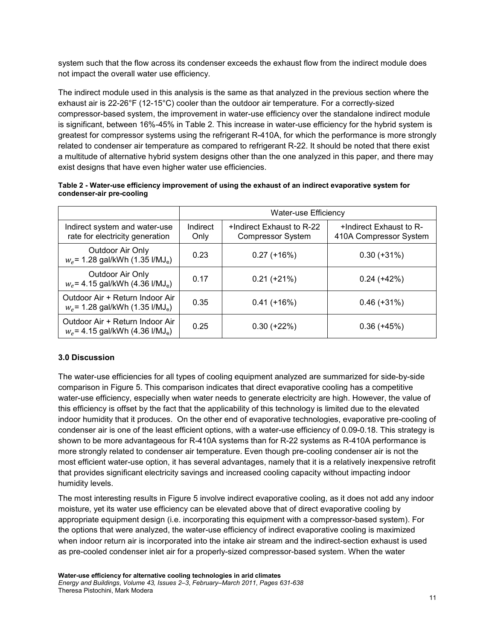system such that the flow across its condenser exceeds the exhaust flow from the indirect module does not impact the overall water use efficiency.

The indirect module used in this analysis is the same as that analyzed in the previous section where the exhaust air is 22-26°F (12-15°C) cooler than the outdoor air temperature. For a correctly-sized compressor-based system, the improvement in water-use efficiency over the standalone indirect module is significant, between 16%-45% in Table 2. This increase in water-use efficiency for the hybrid system is greatest for compressor systems using the refrigerant R-410A, for which the performance is more strongly related to condenser air temperature as compared to refrigerant R-22. It should be noted that there exist a multitude of alternative hybrid system designs other than the one analyzed in this paper, and there may exist designs that have even higher water use efficiencies.

|                                                                                   | <b>Water-use Efficiency</b> |                                                       |                                                   |
|-----------------------------------------------------------------------------------|-----------------------------|-------------------------------------------------------|---------------------------------------------------|
| Indirect system and water-use<br>rate for electricity generation                  | Indirect<br>Only            | +Indirect Exhaust to R-22<br><b>Compressor System</b> | +Indirect Exhaust to R-<br>410A Compressor System |
| Outdoor Air Only<br>$w_e$ = 1.28 gal/kWh (1.35 l/MJ <sub>e</sub> )                | 0.23                        | $0.27 (+16%)$                                         | $0.30 (+31%)$                                     |
| Outdoor Air Only<br>$W_e$ = 4.15 gal/kWh (4.36 l/MJ <sub>e</sub> )                | 0.17                        | $0.21 (+21%)$                                         | $0.24 (+42%)$                                     |
| Outdoor Air + Return Indoor Air<br>$W_e$ = 1.28 gal/kWh (1.35 l/MJ <sub>e</sub> ) | 0.35                        | $0.41 (+16%)$                                         | $0.46 (+31%)$                                     |
| Outdoor Air + Return Indoor Air<br>$W_e$ = 4.15 gal/kWh (4.36 l/MJ <sub>e</sub> ) | 0.25                        | $0.30 (+22%)$                                         | $0.36 (+45%)$                                     |

| Table 2 - Water-use efficiency improvement of using the exhaust of an indirect evaporative system for |
|-------------------------------------------------------------------------------------------------------|
| condenser-air pre-cooling                                                                             |

# **3.0 Discussion**

The water-use efficiencies for all types of cooling equipment analyzed are summarized for side-by-side comparison in [Figure 5.](#page-12-0) This comparison indicates that direct evaporative cooling has a competitive water-use efficiency, especially when water needs to generate electricity are high. However, the value of this efficiency is offset by the fact that the applicability of this technology is limited due to the elevated indoor humidity that it produces. On the other end of evaporative technologies, evaporative pre-cooling of condenser air is one of the least efficient options, with a water-use efficiency of 0.09-0.18. This strategy is shown to be more advantageous for R-410A systems than for R-22 systems as R-410A performance is more strongly related to condenser air temperature. Even though pre-cooling condenser air is not the most efficient water-use option, it has several advantages, namely that it is a relatively inexpensive retrofit that provides significant electricity savings and increased cooling capacity without impacting indoor humidity levels.

The most interesting results in [Figure 5](#page-12-0) involve indirect evaporative cooling, as it does not add any indoor moisture, yet its water use efficiency can be elevated above that of direct evaporative cooling by appropriate equipment design (i.e. incorporating this equipment with a compressor-based system). For the options that were analyzed, the water-use efficiency of indirect evaporative cooling is maximized when indoor return air is incorporated into the intake air stream and the indirect-section exhaust is used as pre-cooled condenser inlet air for a properly-sized compressor-based system. When the water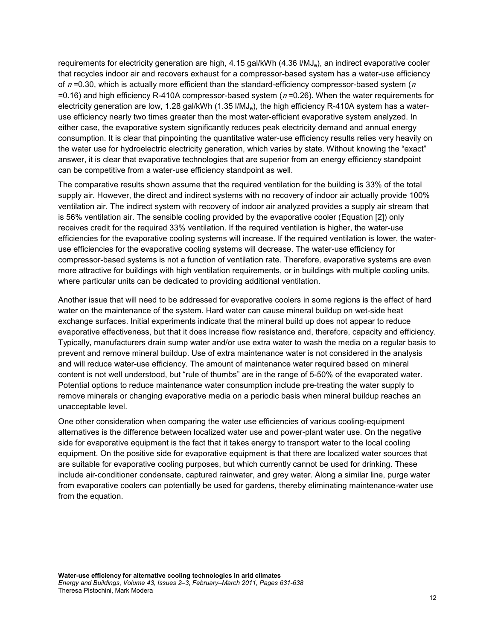requirements for electricity generation are high, 4.15 gal/kWh (4.36 l/MJ<sub>e</sub>), an indirect evaporative cooler that recycles indoor air and recovers exhaust for a compressor-based system has a water-use efficiency of  $n = 0.30$ , which is actually more efficient than the standard-efficiency compressor-based system ( $n$ ) =0.16) and high efficiency R-410A compressor-based system ( $n=0.26$ ). When the water requirements for electricity generation are low, 1.28 gal/kWh (1.35 l/MJ<sub>e</sub>), the high efficiency R-410A system has a wateruse efficiency nearly two times greater than the most water-efficient evaporative system analyzed. In either case, the evaporative system significantly reduces peak electricity demand and annual energy consumption. It is clear that pinpointing the quantitative water-use efficiency results relies very heavily on the water use for hydroelectric electricity generation, which varies by state. Without knowing the "exact" answer, it is clear that evaporative technologies that are superior from an energy efficiency standpoint can be competitive from a water-use efficiency standpoint as well.

The comparative results shown assume that the required ventilation for the building is 33% of the total supply air. However, the direct and indirect systems with no recovery of indoor air actually provide 100% ventilation air. The indirect system with recovery of indoor air analyzed provides a supply air stream that is 56% ventilation air. The sensible cooling provided by the evaporative cooler (Equation [\[2\]\)](#page-3-1) only receives credit for the required 33% ventilation. If the required ventilation is higher, the water-use efficiencies for the evaporative cooling systems will increase. If the required ventilation is lower, the wateruse efficiencies for the evaporative cooling systems will decrease. The water-use efficiency for compressor-based systems is not a function of ventilation rate. Therefore, evaporative systems are even more attractive for buildings with high ventilation requirements, or in buildings with multiple cooling units, where particular units can be dedicated to providing additional ventilation.

Another issue that will need to be addressed for evaporative coolers in some regions is the effect of hard water on the maintenance of the system. Hard water can cause mineral buildup on wet-side heat exchange surfaces. Initial experiments indicate that the mineral build up does not appear to reduce evaporative effectiveness, but that it does increase flow resistance and, therefore, capacity and efficiency. Typically, manufacturers drain sump water and/or use extra water to wash the media on a regular basis to prevent and remove mineral buildup. Use of extra maintenance water is not considered in the analysis and will reduce water-use efficiency. The amount of maintenance water required based on mineral content is not well understood, but "rule of thumbs" are in the range of 5-50% of the evaporated water. Potential options to reduce maintenance water consumption include pre-treating the water supply to remove minerals or changing evaporative media on a periodic basis when mineral buildup reaches an unacceptable level.

One other consideration when comparing the water use efficiencies of various cooling-equipment alternatives is the difference between localized water use and power-plant water use. On the negative side for evaporative equipment is the fact that it takes energy to transport water to the local cooling equipment. On the positive side for evaporative equipment is that there are localized water sources that are suitable for evaporative cooling purposes, but which currently cannot be used for drinking. These include air-conditioner condensate, captured rainwater, and grey water. Along a similar line, purge water from evaporative coolers can potentially be used for gardens, thereby eliminating maintenance-water use from the equation.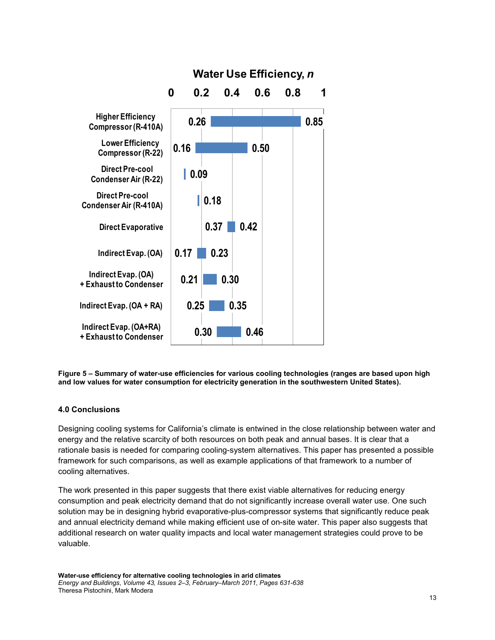

<span id="page-12-0"></span>**Figure 5 – Summary of water-use efficiencies for various cooling technologies (ranges are based upon high and low values for water consumption for electricity generation in the southwestern United States).**

#### **4.0 Conclusions**

Designing cooling systems for California's climate is entwined in the close relationship between water and energy and the relative scarcity of both resources on both peak and annual bases. It is clear that a rationale basis is needed for comparing cooling-system alternatives. This paper has presented a possible framework for such comparisons, as well as example applications of that framework to a number of cooling alternatives.

The work presented in this paper suggests that there exist viable alternatives for reducing energy consumption and peak electricity demand that do not significantly increase overall water use. One such solution may be in designing hybrid evaporative-plus-compressor systems that significantly reduce peak and annual electricity demand while making efficient use of on-site water. This paper also suggests that additional research on water quality impacts and local water management strategies could prove to be valuable.